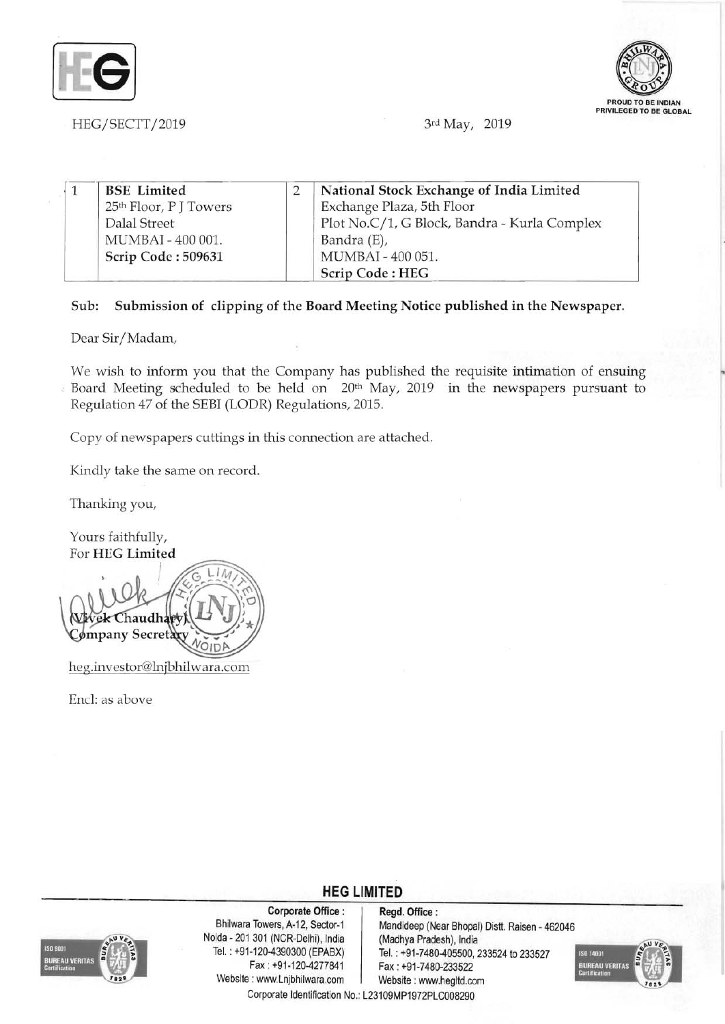



HEG/SECTT/2019 3rd May, 2019

| <b>BSE</b> Limited                 | National Stock Exchange of India Limited     |
|------------------------------------|----------------------------------------------|
| 25 <sup>th</sup> Floor, P J Towers | Exchange Plaza, 5th Floor                    |
| Dalal Street                       | Plot No.C/1, G Block, Bandra - Kurla Complex |
| MUMBAI - 400 001.                  | Bandra (E),                                  |
| Scrip Code: 509631                 | MUMBAI - 400 051.                            |
|                                    | Scrip Code: HEG                              |

## Sub: Submission of clipping of the Board Meeting Notice published in the Newspaper.

Dear Sir/Madam,

We wish to inform you that the Company has published the requisite intimation of ensuing  $\epsilon$  Board Meeting scheduled to be held on  $20<sup>th</sup>$  May, 2019 in the newspapers pursuant to Regulation 47 of the SEBI (LODR) Regulations, 2015.

Copy of newspapers cuttings in this connection are attached.

Kindly take the same on record.

Thanking you,

Yours faithfully, For HEG Limited

haudhaw ømpany Secret heg.investor@h1jbhilwara.com

End: as above

**HEG LIMITED** 



Corporate Office: Regd. Office:<br>Bhilwara Towers, A-12, Sector-1 Mandideep (Ne Noida - 201 301 (NCR-Delhi), India (Madhya Pradesh), India<br>Tel.: +91-120-4390300 (EPABX) Tel.: +91-7480-405500. Website: www.Lnjbhilwara.com | Website: www.hegltd.com

Mandideep (Near Bhopal) Distt. Raisen - 462046 Tel. : +91-120-4390300 (EPABX) Tel. : +91-7480-405500, 233524 to 233527 Fax: +91-7480-233522



Corporate Identification No.: L23109MP1972PLC008290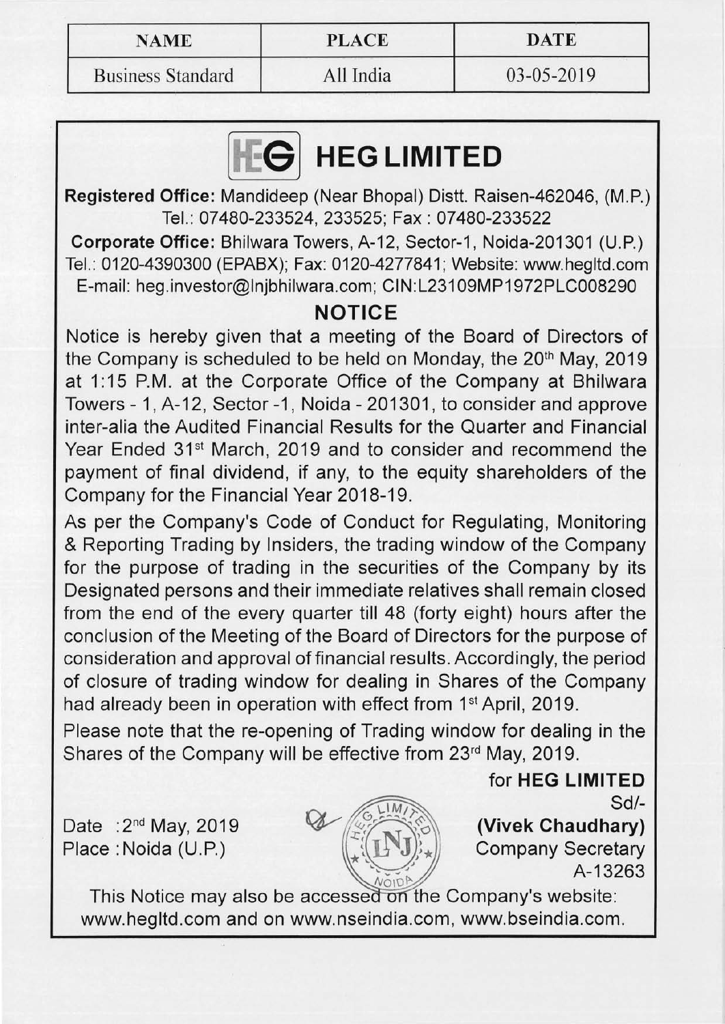| <b>NAME</b> | <b>PLACE</b> | <b>DATE</b> |
|-------------|--------------|-------------|
|             |              |             |

Business Standard All India 03-05-2019

## **HEG LIMITED**

Registered Office: Mandideep (Near Bhopal) Distt. Raisen-462046, (M.P.) Tel.: 07480-233524, 233525; Fax: 07480-233522

Corporate Office: Bhilwara Towers, A-12, Sector-1, Noida-201301 (U.P.) Tel.: 0120-4390300 (EPABX); Fax: 0120-4277841; Website: www.hegltd.com E-mail: heg.investor@lnjbhilwara.com; CIN:L231 09MP1972PLC008290

## **NOTICE**

Notice is hereby given that a meeting of the Board of Directors of the Company is scheduled to be held on Monday, the 20<sup>th</sup> May, 2019 at 1:15 P.M. at the Corporate Office of the Company at Bhilwara Towers - 1, A-12, Sector -1, Noida - 201301, to consider and approve inter-alia the Audited Financial Results for the Quarter and Financial Year Ended 31<sup>st</sup> March, 2019 and to consider and recommend the payment of final dividend, if any, to the equity shareholders of the Company for the Financial Year 2018-19.

As per the Company's Code of Conduct for Regulating, Monitoring & Reporting Trading by Insiders, the trading window of the Company for the purpose of trading in the securities of the Company by its Designated persons and their immediate relatives shall remain closed from the end of the every quarter till 48 (forty eight) hours after the conclusion of the Meeting of the Board of Directors for the purpose of consideration and approval of financial results. Accordingly, the period of closure of trading window for dealing in Shares of the Company had already been in operation with effect from 1<sup>st</sup> April, 2019.

Please note that the re-opening of Trading window for dealing in the Shares of the Company will be effective from 23<sup>rd</sup> May, 2019.

Date : 2<sup>nd</sup> May, 2019 Place: Noida (U.P.)



(Vivek Chaudhary) Company Secretary A-13263 Sd/

for HEG LIMITED

This Notice may also be accessed on the Company's website: www.hegltd.com and on www.nseindia.com, www.bseindia.com.